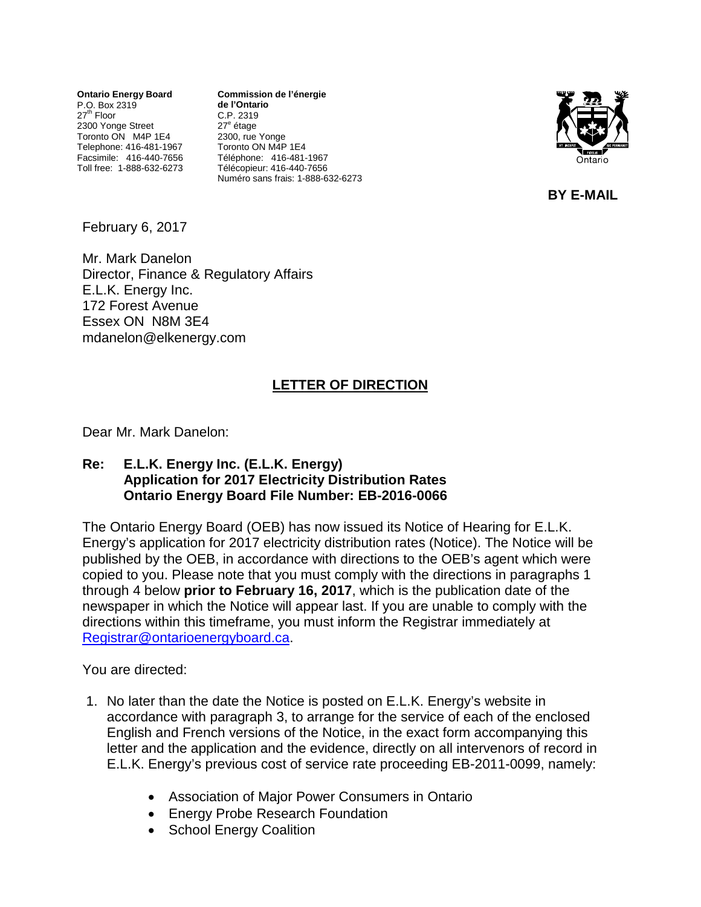**Ontario Energy Board** P.O. Box 2319 27<sup>th</sup> Floor 2300 Yonge Street Toronto ON M4P 1E4 Telephone: 416-481-1967 Facsimile: 416-440-7656 Toll free: 1-888-632-6273 **Commission de l'énergie de l'Ontario** C.P. 2319 27<sup>e</sup> étage 2300, rue Yonge Toronto ON M4P 1E4 Téléphone: 416-481-1967 Télécopieur: 416-440-7656 Numéro sans frais: 1-888-632-6273



**BY E-MAIL**

February 6, 2017

Mr. Mark Danelon Director, Finance & Regulatory Affairs E.L.K. Energy Inc. 172 Forest Avenue Essex ON N8M 3E4 mdanelon@elkenergy.com

## **LETTER OF DIRECTION**

Dear Mr. Mark Danelon:

## **Re: E.L.K. Energy Inc. (E.L.K. Energy) Application for 2017 Electricity Distribution Rates Ontario Energy Board File Number: EB-2016-0066**

The Ontario Energy Board (OEB) has now issued its Notice of Hearing for E.L.K. Energy's application for 2017 electricity distribution rates (Notice). The Notice will be published by the OEB, in accordance with directions to the OEB's agent which were copied to you. Please note that you must comply with the directions in paragraphs 1 through 4 below **prior to February 16, 2017**, which is the publication date of the newspaper in which the Notice will appear last. If you are unable to comply with the directions within this timeframe, you must inform the Registrar immediately at [Registrar@ontarioenergyboard.ca.](mailto:Registrar@ontarioenergyboard.ca)

You are directed:

- 1. No later than the date the Notice is posted on E.L.K. Energy's website in accordance with paragraph 3, to arrange for the service of each of the enclosed English and French versions of the Notice, in the exact form accompanying this letter and the application and the evidence, directly on all intervenors of record in E.L.K. Energy's previous cost of service rate proceeding EB-2011-0099, namely:
	- Association of Major Power Consumers in Ontario
	- Energy Probe Research Foundation
	- School Energy Coalition